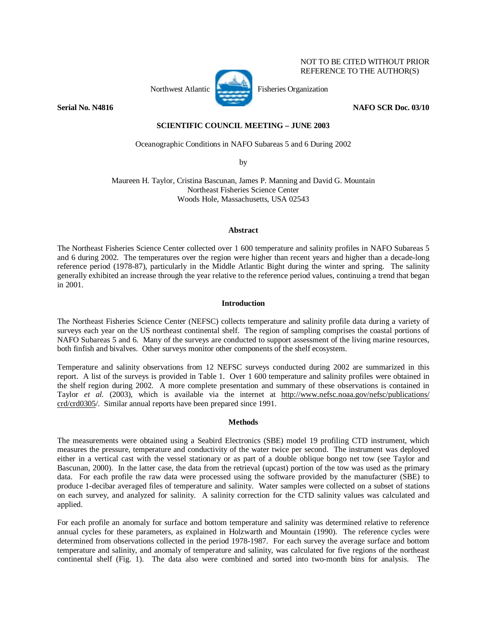

NOT TO BE CITED WITHOUT PRIOR REFERENCE TO THE AUTHOR(S)

**Serial No. N4816 NAFO SCR Doc. 03/10 NAFO SCR Doc. 03/10** 

# **SCIENTIFIC COUNCIL MEETING – JUNE 2003**

Oceanographic Conditions in NAFO Subareas 5 and 6 During 2002

by

Maureen H. Taylor, Cristina Bascunan, James P. Manning and David G. Mountain Northeast Fisheries Science Center Woods Hole, Massachusetts, USA 02543

### **Abstract**

The Northeast Fisheries Science Center collected over 1 600 temperature and salinity profiles in NAFO Subareas 5 and 6 during 2002. The temperatures over the region were higher than recent years and higher than a decade-long reference period (1978-87), particularly in the Middle Atlantic Bight during the winter and spring. The salinity generally exhibited an increase through the year relative to the reference period values, continuing a trend that began in 2001.

## **Introduction**

The Northeast Fisheries Science Center (NEFSC) collects temperature and salinity profile data during a variety of surveys each year on the US northeast continental shelf. The region of sampling comprises the coastal portions of NAFO Subareas 5 and 6. Many of the surveys are conducted to support assessment of the living marine resources, both finfish and bivalves. Other surveys monitor other components of the shelf ecosystem.

Temperature and salinity observations from 12 NEFSC surveys conducted during 2002 are summarized in this report. A list of the surveys is provided in Table 1. Over 1 600 temperature and salinity profiles were obtained in the shelf region during 2002. A more complete presentation and summary of these observations is contained in Taylor *et al.* (2003), which is available via the internet at http://www.nefsc.noaa.gov/nefsc/publications/ crd/crd0305/. Similar annual reports have been prepared since 1991.

### **Methods**

The measurements were obtained using a Seabird Electronics (SBE) model 19 profiling CTD instrument, which measures the pressure, temperature and conductivity of the water twice per second. The instrument was deployed either in a vertical cast with the vessel stationary or as part of a double oblique bongo net tow (see Taylor and Bascunan, 2000). In the latter case, the data from the retrieval (upcast) portion of the tow was used as the primary data. For each profile the raw data were processed using the software provided by the manufacturer (SBE) to produce 1-decibar averaged files of temperature and salinity. Water samples were collected on a subset of stations on each survey, and analyzed for salinity. A salinity correction for the CTD salinity values was calculated and applied.

For each profile an anomaly for surface and bottom temperature and salinity was determined relative to reference annual cycles for these parameters, as explained in Holzwarth and Mountain (1990). The reference cycles were determined from observations collected in the period 1978-1987. For each survey the average surface and bottom temperature and salinity, and anomaly of temperature and salinity, was calculated for five regions of the northeast continental shelf (Fig. 1). The data also were combined and sorted into two-month bins for analysis. The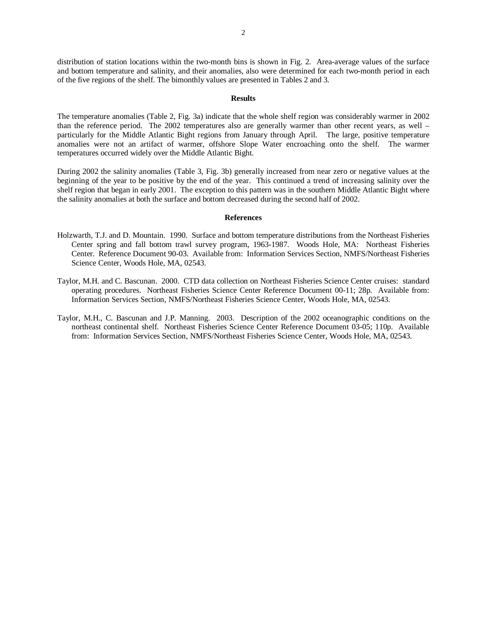distribution of station locations within the two-month bins is shown in Fig. 2. Area-average values of the surface and bottom temperature and salinity, and their anomalies, also were determined for each two-month period in each of the five regions of the shelf. The bimonthly values are presented in Tables 2 and 3.

#### **Results**

The temperature anomalies (Table 2, Fig. 3a) indicate that the whole shelf region was considerably warmer in 2002 than the reference period. The 2002 temperatures also are generally warmer than other recent years, as well – particularly for the Middle Atlantic Bight regions from January through April. The large, positive temperature anomalies were not an artifact of warmer, offshore Slope Water encroaching onto the shelf. The warmer temperatures occurred widely over the Middle Atlantic Bight.

During 2002 the salinity anomalies (Table 3, Fig. 3b) generally increased from near zero or negative values at the beginning of the year to be positive by the end of the year. This continued a trend of increasing salinity over the shelf region that began in early 2001. The exception to this pattern was in the southern Middle Atlantic Bight where the salinity anomalies at both the surface and bottom decreased during the second half of 2002.

#### **References**

- Holzwarth, T.J. and D. Mountain. 1990. Surface and bottom temperature distributions from the Northeast Fisheries Center spring and fall bottom trawl survey program, 1963-1987. Woods Hole, MA: Northeast Fisheries Center. Reference Document 90-03. Available from: Information Services Section, NMFS/Northeast Fisheries Science Center, Woods Hole, MA, 02543.
- Taylor, M.H. and C. Bascunan. 2000. CTD data collection on Northeast Fisheries Science Center cruises: standard operating procedures. Northeast Fisheries Science Center Reference Document 00-11; 28p. Available from: Information Services Section, NMFS/Northeast Fisheries Science Center, Woods Hole, MA, 02543.
- Taylor, M.H., C. Bascunan and J.P. Manning. 2003. Description of the 2002 oceanographic conditions on the northeast continental shelf. Northeast Fisheries Science Center Reference Document 03-05; 110p. Available from: Information Services Section, NMFS/Northeast Fisheries Science Center, Woods Hole, MA, 02543.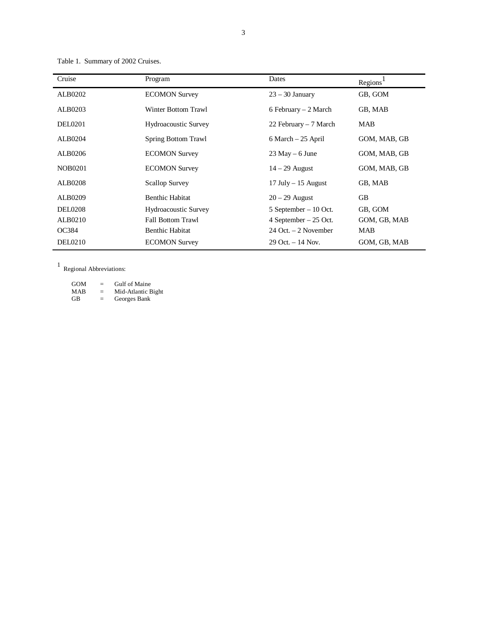Table 1. Summary of 2002 Cruises.

| Cruise         | Program                     | Dates                    | Regions <sup>1</sup> |
|----------------|-----------------------------|--------------------------|----------------------|
| ALB0202        | <b>ECOMON Survey</b>        | $23 - 30$ January        | GB, GOM              |
| ALB0203        | Winter Bottom Trawl         | 6 February $-2$ March    | GB, MAB              |
| <b>DEL0201</b> | <b>Hydroacoustic Survey</b> | 22 February – 7 March    | MAB                  |
| ALB0204        | <b>Spring Bottom Trawl</b>  | $6$ March $-25$ April    | GOM, MAB, GB         |
| ALB0206        | <b>ECOMON Survey</b>        | $23$ May $-6$ June       | GOM, MAB, GB         |
| <b>NOB0201</b> | <b>ECOMON Survey</b>        | $14 - 29$ August         | GOM, MAB, GB         |
| <b>ALB0208</b> | <b>Scallop Survey</b>       | $17$ July $- 15$ August  | GB, MAB              |
| ALB0209        | <b>Benthic Habitat</b>      | $20 - 29$ August         | <b>GB</b>            |
| <b>DEL0208</b> | <b>Hydroacoustic Survey</b> | $5$ September $-10$ Oct. | GB, GOM              |
| ALB0210        | <b>Fall Bottom Trawl</b>    | 4 September $-25$ Oct.   | GOM, GB, MAB         |
| OC384          | <b>Benthic Habitat</b>      | $24$ Oct. $-2$ November  | MAB                  |
| <b>DEL0210</b> | <b>ECOMON Survey</b>        | $29$ Oct. $-14$ Nov.     | GOM, GB, MAB         |

1 Regional Abbreviations:

GOM = Gulf of Maine MAB = Mid-Atlantic Bight GB = Georges Bank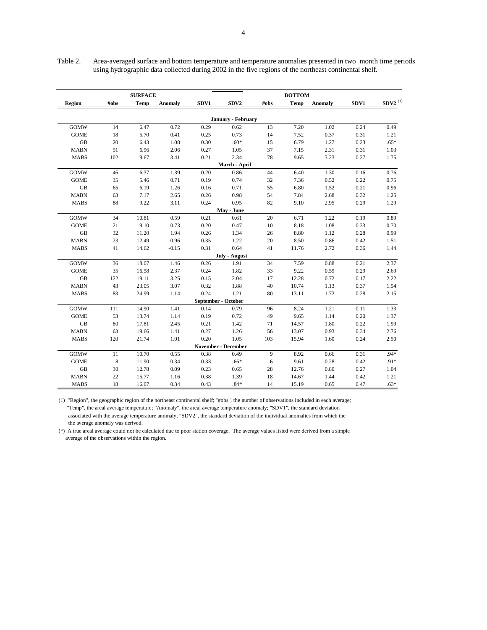|             |             | <b>SURFACE</b> |                |                     |                            |      | <b>BOTTOM</b> |          |      |                       |
|-------------|-------------|----------------|----------------|---------------------|----------------------------|------|---------------|----------|------|-----------------------|
| Region      | #obs        | <b>Temp</b>    | <b>Anomaly</b> | SDV1                | SDV2                       | #obs | <b>Temp</b>   | Anomaly  | SDV1 | $\mathbf{SDV2}^{(1)}$ |
|             |             |                |                |                     | January - February         |      |               |          |      |                       |
| <b>GOMW</b> | 14          | 6.47           | 0.72           | 0.29                | 0.62                       | 13   | 7.20          | 1.02     | 0.24 | 0.49                  |
| <b>GOME</b> | 18          | 5.70           | 0.41           | 0.25                | 0.73                       | 14   | 7.52          | 0.37     | 0.31 | 1.21                  |
| $\rm GB$    | 20          | 6.43           | 1.08           | 0.30                | $.60*$                     | 15   | 6.79          | 1.27     | 0.23 | $.65*$                |
| <b>MABN</b> | 51          | 6.96           | 2.06           | 0.27                | 1.05                       | 37   | 7.15          | 2.31     | 0.31 | 1.03                  |
| <b>MABS</b> | 102         | 9.67           | 3.41           | 0.21                | 2.34                       | 78   | 9.65          | 3.23     | 0.27 | 1.75                  |
|             |             |                |                |                     | March - April              |      |               |          |      |                       |
| <b>GOMW</b> | 46          | 6.37           | 1.39           | 0.20                | 0.86                       | 44   | 6.40          | 1.30     | 0.16 | 0.76                  |
| <b>GOME</b> | 35          | 5.46           | 0.71           | 0.19                | 0.74                       | 32   | 7.36          | 0.52     | 0.22 | 0.75                  |
| GB          | 65          | 6.19           | 1.26           | 0.16                | 0.71                       | 55   | 6.80          | 1.52     | 0.21 | 0.96                  |
| <b>MABN</b> | 63          | 7.17           | 2.65           | 0.26                | 0.98                       | 54   | 7.84          | 2.68     | 0.32 | 1.25                  |
| <b>MABS</b> | 88          | 9.22           | 3.11           | 0.24                | 0.95                       | 82   | 9.10          | 2.95     | 0.29 | 1.29                  |
|             |             |                |                |                     | May - June                 |      |               |          |      |                       |
| <b>GOMW</b> | 34          | 10.81          | 0.59           | 0.21                | 0.61                       | 20   | 6.71          | 1.22     | 0.19 | 0.89                  |
| <b>GOME</b> | 21          | 9.10           | 0.73           | 0.20                | 0.47                       | 10   | 8.18          | $1.08\,$ | 0.33 | 0.70                  |
| GB          | 32          | 11.20          | 1.94           | 0.26                | 1.34                       | 26   | 8.80          | 1.12     | 0.28 | 0.99                  |
| <b>MABN</b> | 23          | 12.49          | 0.96           | 0.35                | 1.22                       | 20   | 8.50          | 0.86     | 0.42 | 1.51                  |
| <b>MABS</b> | 41          | 14.62          | $-0.15$        | 0.31                | 0.64                       | 41   | 11.76         | 2.72     | 0.36 | 1.44                  |
|             |             |                |                |                     | July - August              |      |               |          |      |                       |
| <b>GOMW</b> | 36          | 18.07          | 1.46           | 0.26                | 1.91                       | 34   | 7.59          | 0.88     | 0.21 | 2.37                  |
| <b>GOME</b> | 35          | 16.58          | 2.37           | 0.24                | 1.82                       | 33   | 9.22          | 0.59     | 0.29 | 2.69                  |
| GB          | 122         | 19.11          | 3.25           | 0.15                | 2.04                       | 117  | 12.28         | 0.72     | 0.17 | 2.22                  |
| <b>MABN</b> | 43          | 23.05          | 3.07           | 0.32                | 1.88                       | 40   | 10.74         | 1.13     | 0.37 | 1.54                  |
| <b>MABS</b> | 83          | 24.99          | 1.14           | 0.24                | 1.21                       | 80   | 13.11         | 1.72     | 0.28 | 2.15                  |
|             |             |                |                | September - October |                            |      |               |          |      |                       |
| <b>GOMW</b> | 111         | 14.90          | 1.41           | 0.14                | 0.79                       | 96   | 8.24          | 1.21     | 0.11 | 1.33                  |
| <b>GOME</b> | 53          | 13.74          | 1.14           | 0.19                | 0.72                       | 49   | 9.65          | 1.14     | 0.20 | 1.37                  |
| GB          | 80          | 17.81          | 2.45           | 0.21                | 1.42                       | 71   | 14.57         | 1.80     | 0.22 | 1.99                  |
| <b>MABN</b> | 63          | 19.66          | 1.41           | 0.27                | 1.26                       | 56   | 13.07         | 0.93     | 0.34 | 2.76                  |
| <b>MABS</b> | 120         | 21.74          | 1.01           | 0.20                | 1.05                       | 103  | 15.94         | 1.60     | 0.24 | 2.50                  |
|             |             |                |                |                     | <b>November - December</b> |      |               |          |      |                       |
| <b>GOMW</b> | 11          | 10.70          | 0.55           | 0.38                | 0.49                       | 9    | 8.92          | 0.66     | 0.31 | $.94*$                |
| <b>GOME</b> | $\,$ 8 $\,$ | 11.90          | 0.34           | 0.33                | $.66*$                     | 6    | 9.61          | 0.28     | 0.42 | .91*                  |
| <b>GB</b>   | 30          | 12.78          | 0.09           | 0.23                | 0.65                       | 28   | 12.76         | $0.80\,$ | 0.27 | 1.04                  |
| <b>MABN</b> | 22          | 15.77          | 1.16           | 0.38                | 1.39                       | 18   | 14.67         | 1.44     | 0.42 | 1.21                  |
| <b>MABS</b> | 18          | 16.07          | 0.34           | 0.43                | $.84*$                     | 14   | 15.19         | 0.65     | 0.47 | $.63*$                |

Table 2. Area-averaged surface and bottom temperature and temperature anomalies presented in two month time periods using hydrographic data collected during 2002 in the five regions of the northeast continental shelf.

(1) "Region", the geographic region of the northeast continental shelf; "#obs", the number of observations included in each average; "Temp", the areal average temperature; "Anomaly", the areal average temperature anomaly; "SDV1", the standard deviation associated with the average temperature anomaly; "SDV2", the standard deviation of the individual anomalies from which the the average anomaly was derived.

(\*) A true areal average could not be calculated due to poor station coverage. The average values listed were derived from a simple average of the observations within the region.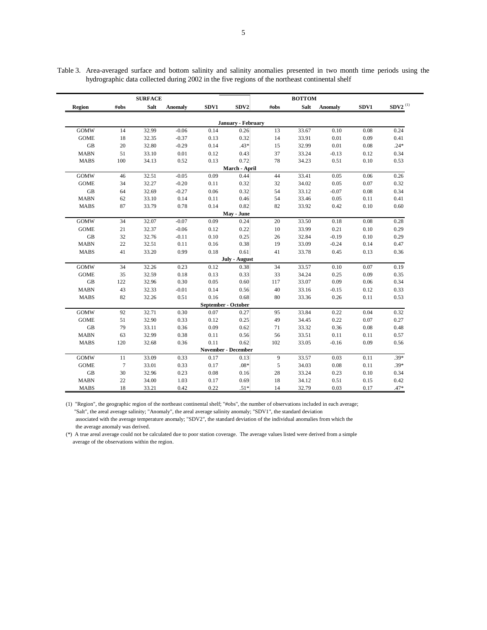|             | <b>SURFACE</b> |       |                |                     |                            | <b>BOTTOM</b> |       |                |      |                       |
|-------------|----------------|-------|----------------|---------------------|----------------------------|---------------|-------|----------------|------|-----------------------|
| Region      | #obs           | Salt  | <b>Anomaly</b> | SDV1                | SDV <sub>2</sub>           | #obs          | Salt  | <b>Anomaly</b> | SDV1 | $\mathbf{SDV2}^{(1)}$ |
|             |                |       |                |                     | January - February         |               |       |                |      |                       |
| <b>GOMW</b> | 14             | 32.99 | $-0.06$        | 0.14                | 0.26                       | 13            | 33.67 | 0.10           | 0.08 | 0.24                  |
| <b>GOME</b> | 18             | 32.35 | $-0.37$        | 0.13                | 0.32                       | 14            | 33.91 | 0.01           | 0.09 | 0.41                  |
| GB          | 20             | 32.80 | $-0.29$        | 0.14                | $.43*$                     | 15            | 32.99 | $0.01\,$       | 0.08 | $.24*$                |
| <b>MABN</b> | 51             | 33.10 | 0.01           | 0.12                | 0.43                       | 37            | 33.24 | $-0.13$        | 0.12 | 0.34                  |
| <b>MABS</b> | 100            | 34.13 | 0.52           | 0.13                | 0.72                       | 78            | 34.23 | 0.51           | 0.10 | 0.53                  |
|             |                |       |                |                     | March - April              |               |       |                |      |                       |
| <b>GOMW</b> | 46             | 32.51 | $-0.05$        | 0.09                | 0.44                       | 44            | 33.41 | 0.05           | 0.06 | 0.26                  |
| <b>GOME</b> | 34             | 32.27 | $-0.20$        | 0.11                | 0.32                       | 32            | 34.02 | 0.05           | 0.07 | 0.32                  |
| GB          | 64             | 32.69 | $-0.27$        | 0.06                | 0.32                       | 54            | 33.12 | $-0.07$        | 0.08 | 0.34                  |
| <b>MABN</b> | 62             | 33.10 | 0.14           | 0.11                | 0.46                       | 54            | 33.46 | 0.05           | 0.11 | 0.41                  |
| <b>MABS</b> | 87             | 33.79 | 0.78           | 0.14                | 0.82                       | 82            | 33.92 | 0.42           | 0.10 | 0.60                  |
|             |                |       |                |                     | May - June                 |               |       |                |      |                       |
| <b>GOMW</b> | 34             | 32.07 | $-0.07$        | 0.09                | 0.24                       | 20            | 33.50 | 0.18           | 0.08 | 0.28                  |
| <b>GOME</b> | 21             | 32.37 | $-0.06$        | 0.12                | 0.22                       | 10            | 33.99 | 0.21           | 0.10 | 0.29                  |
| GB          | 32             | 32.76 | $-0.11$        | 0.10                | 0.25                       | 26            | 32.84 | $-0.19$        | 0.10 | 0.29                  |
| <b>MABN</b> | 22             | 32.51 | 0.11           | 0.16                | 0.38                       | 19            | 33.09 | $-0.24$        | 0.14 | 0.47                  |
| <b>MABS</b> | 41             | 33.20 | 0.99           | 0.18                | 0.61                       | 41            | 33.78 | 0.45           | 0.13 | 0.36                  |
|             |                |       |                |                     | July - August              |               |       |                |      |                       |
| <b>GOMW</b> | 34             | 32.26 | 0.23           | 0.12                | 0.38                       | 34            | 33.57 | 0.10           | 0.07 | 0.19                  |
| <b>GOME</b> | 35             | 32.59 | 0.18           | 0.13                | 0.33                       | 33            | 34.24 | 0.25           | 0.09 | 0.35                  |
| <b>GB</b>   | 122            | 32.96 | 0.30           | 0.05                | 0.60                       | 117           | 33.07 | 0.09           | 0.06 | 0.34                  |
| <b>MABN</b> | 43             | 32.33 | $-0.01$        | 0.14                | 0.56                       | 40            | 33.16 | $-0.15$        | 0.12 | 0.33                  |
| <b>MABS</b> | 82             | 32.26 | 0.51           | 0.16                | 0.68                       | 80            | 33.36 | 0.26           | 0.11 | 0.53                  |
|             |                |       |                | September - October |                            |               |       |                |      |                       |
| <b>GOMW</b> | 92             | 32.71 | 0.30           | 0.07                | 0.27                       | 95            | 33.84 | 0.22           | 0.04 | 0.32                  |
| <b>GOME</b> | 51             | 32.90 | 0.33           | 0.12                | 0.25                       | 49            | 34.45 | 0.22           | 0.07 | 0.27                  |
| <b>GB</b>   | 79             | 33.11 | 0.36           | 0.09                | 0.62                       | 71            | 33.32 | 0.36           | 0.08 | 0.48                  |
| <b>MABN</b> | 63             | 32.99 | 0.38           | 0.11                | 0.56                       | 56            | 33.51 | 0.11           | 0.11 | 0.57                  |
| <b>MABS</b> | 120            | 32.68 | 0.36           | 0.11                | 0.62                       | 102           | 33.05 | $-0.16$        | 0.09 | 0.56                  |
|             |                |       |                |                     | <b>November - December</b> |               |       |                |      |                       |
| <b>GOMW</b> | 11             | 33.09 | 0.33           | 0.17                | 0.13                       | 9             | 33.57 | 0.03           | 0.11 | $.39*$                |
| <b>GOME</b> | $\tau$         | 33.01 | 0.33           | 0.17                | $.08*$                     | 5             | 34.03 | 0.08           | 0.11 | $.39*$                |
| GB          | 30             | 32.96 | 0.23           | 0.08                | 0.16                       | 28            | 33.24 | 0.23           | 0.10 | 0.34                  |
| <b>MABN</b> | 22             | 34.00 | 1.03           | 0.17                | 0.69                       | 18            | 34.12 | 0.51           | 0.15 | 0.42                  |
| <b>MABS</b> | 18             | 33.21 | 0.42           | 0.22                | $.51*$                     | 14            | 32.79 | 0.03           | 0.17 | .47*                  |

Table 3. Area-averaged surface and bottom salinity and salinity anomalies presented in two month time periods using the hydrographic data collected during 2002 in the five regions of the northeast continental shelf

(1) "Region", the geographic region of the northeast continental shelf; "#obs", the number of observations included in each average; "Salt", the areal average salinity; "Anomaly", the areal average salinity anomaly; "SDV1", the standard deviation associated with the average temperature anomaly; "SDV2", the standard deviation of the individual anomalies from which the the average anomaly was derived.

(\*) A true areal average could not be calculated due to poor station coverage. The average values listed were derived from a simple average of the observations within the region.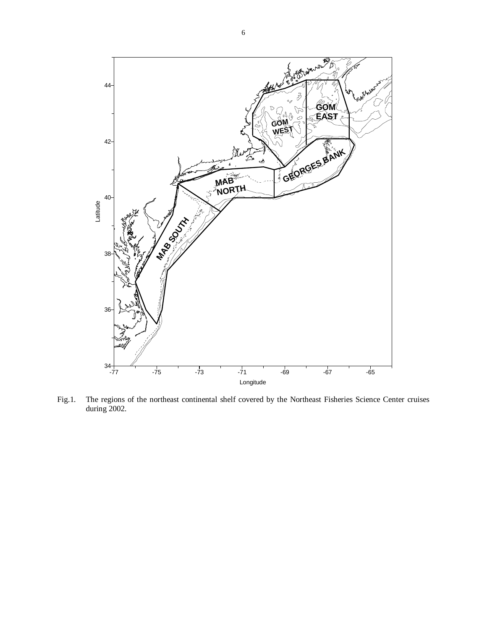

Fig.1. The regions of the northeast continental shelf covered by the Northeast Fisheries Science Center cruises during 2002.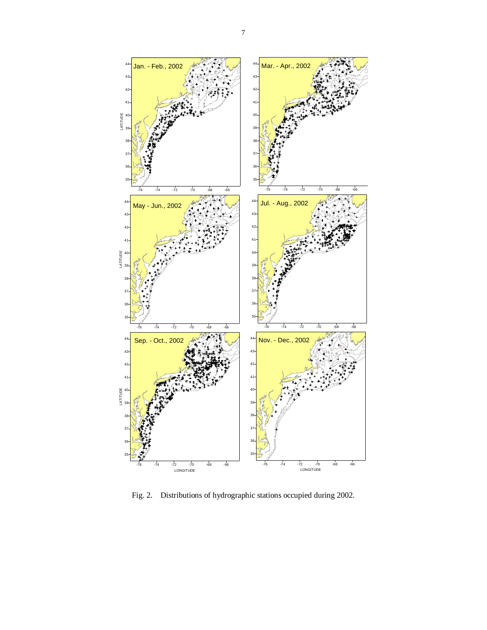

Fig. 2. Distributions of hydrographic stations occupied during 2002.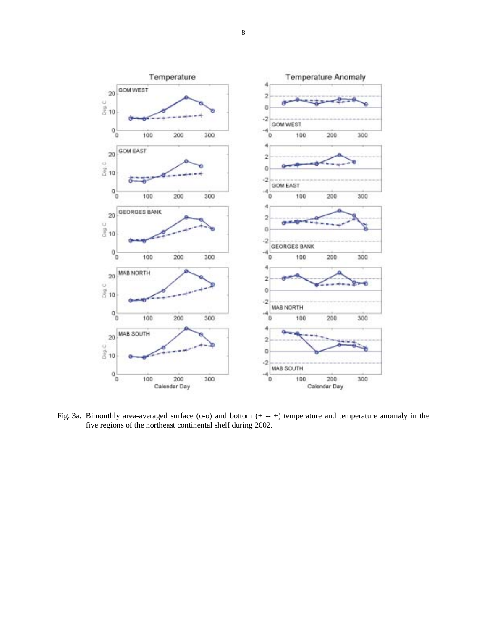

Fig. 3a. Bimonthly area-averaged surface (o-o) and bottom (+ -- +) temperature and temperature anomaly in the five regions of the northeast continental shelf during 2002.